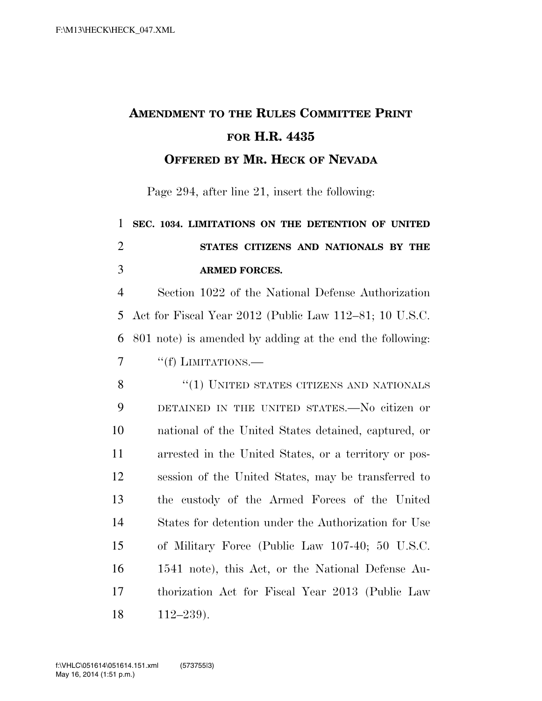## **AMENDMENT TO THE RULES COMMITTEE PRINT FOR H.R. 4435**

**OFFERED BY MR. HECK OF NEVADA**

Page 294, after line 21, insert the following:

## **SEC. 1034. LIMITATIONS ON THE DETENTION OF UNITED STATES CITIZENS AND NATIONALS BY THE ARMED FORCES.**

 Section 1022 of the National Defense Authorization Act for Fiscal Year 2012 (Public Law 112–81; 10 U.S.C. 801 note) is amended by adding at the end the following: 7 "(f) LIMITATIONS.—

8 "(1) UNITED STATES CITIZENS AND NATIONALS DETAINED IN THE UNITED STATES.—No citizen or national of the United States detained, captured, or arrested in the United States, or a territory or pos- session of the United States, may be transferred to the custody of the Armed Forces of the United States for detention under the Authorization for Use of Military Force (Public Law 107-40; 50 U.S.C. 1541 note), this Act, or the National Defense Au- thorization Act for Fiscal Year 2013 (Public Law 112–239).